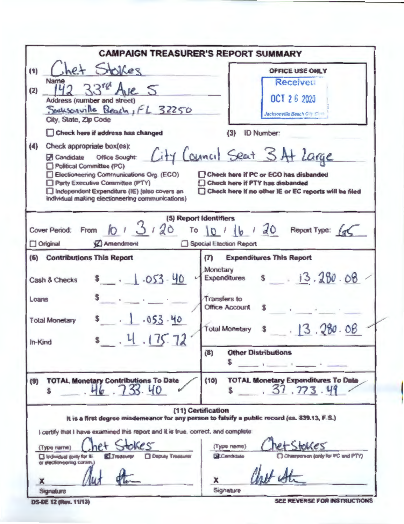| <b>CAMPAIGN TREASURER'S REPORT SUMMARY</b>                                                                                                                                                                                                                                                                                                                                                                                                                       |                                                                                                                                                                                                                                                                                                |  |  |  |  |
|------------------------------------------------------------------------------------------------------------------------------------------------------------------------------------------------------------------------------------------------------------------------------------------------------------------------------------------------------------------------------------------------------------------------------------------------------------------|------------------------------------------------------------------------------------------------------------------------------------------------------------------------------------------------------------------------------------------------------------------------------------------------|--|--|--|--|
| het Stokes<br>(1)<br>Name<br>$33$ re Ave 5<br>(2)<br>Address (number and street)<br>Seaksonville Beach, FL 32250<br>City, State, Zip Code<br>Check here if address has changed<br>(4)<br>Check appropriate box(es):<br>A Candidate Office Sought:<br>Political Committee (PC)<br>Electioneering Communications Org. (ECO)<br>Party Executive Committee (PTY)<br>Independent Expenditure (IE) (also covers an<br>individual making electioneering communications) | <b>OFFICE USE ONLY</b><br>Receivet.<br>OCT 26 2020<br>Jacksonville Beach City Circle<br><b>ID Number:</b><br>(3)<br>City Council Seat 3 At Large<br>Check here if PC or ECO has disbanded<br><b>Check here if PTY has disbanded</b><br>□ Check here if no other IE or EC reports will be filed |  |  |  |  |
| (5) Report Identifiers<br>Cover Period: From $\int_{0}^{1} 3/20$<br>Amendment<br>$\Box$ Original                                                                                                                                                                                                                                                                                                                                                                 | To $10$ $1$ $16$ $120$ Report Type: $12$<br>Special Election Report                                                                                                                                                                                                                            |  |  |  |  |
| (6) Contributions This Report<br>$= 1.053 - 40$<br><b>Cash &amp; Checks</b><br>Loans                                                                                                                                                                                                                                                                                                                                                                             | <b>Expenditures This Report</b><br>(T)<br>Monetary<br>Expenditures $s = 13.280.08$<br>Transfers to<br><b>Office Account</b>                                                                                                                                                                    |  |  |  |  |
| . 1.053.40<br><b>Total Monetary</b><br>.4.175.72<br>In-Kind                                                                                                                                                                                                                                                                                                                                                                                                      | 13.280.08<br><b>Total Monetary</b><br><b>Other Distributions</b><br>(8)                                                                                                                                                                                                                        |  |  |  |  |
| <b>TOTAL Monetary Contributions To Date</b><br>(9)<br>46.733.40                                                                                                                                                                                                                                                                                                                                                                                                  | S<br>and the same of<br><b>TOTAL Monetary Expenditures To Date</b><br>(10)<br>37.773.49                                                                                                                                                                                                        |  |  |  |  |
| I certify that I have examined this report and it is true, correct, and complete:<br>Res<br>(Type name)<br><b>ELTreasurer</b><br><b>Deputy Treasurer</b><br>Individual (only for IE)<br>or electionegring comm.)<br>x<br>Signature                                                                                                                                                                                                                               | (11) Certification<br>It is a first degree misdemeanor for any person to falsify a public record (ss. 839.13, F.S.)<br>$e$ t Stokes<br>(Type name)<br>Champerson (only for PC and PTY)<br><b>BCandidate</b><br>x<br>Signature                                                                  |  |  |  |  |

**DS-DE 12 (Rev. 11/13)** 

SEE REVERSE FOR INSTRUCTIONS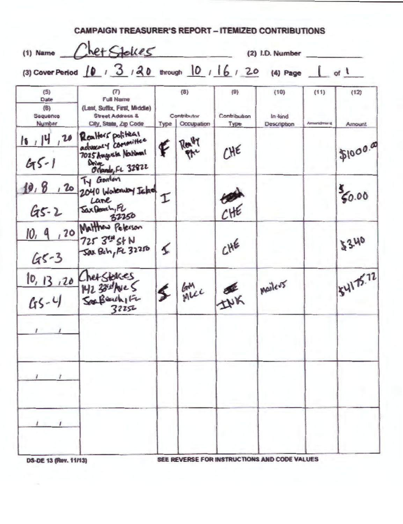|                              | (1) Name Chet Stelles                                                                          |      |                           |                      | (2) I.D. Number                              |                                |           |
|------------------------------|------------------------------------------------------------------------------------------------|------|---------------------------|----------------------|----------------------------------------------|--------------------------------|-----------|
|                              | (3) Cover Period $10 \tcdot 3 \tcdot 30$ through $10 \tcdot 16 \tcdot 20$ (4) Page             |      |                           |                      |                                              | $\frac{1}{2}$ of $\frac{1}{2}$ |           |
| (5)<br>Date<br>(6)           | $\left( 7\right)$<br><b>Full Name</b><br>(Last, Suffix, First, Middle)                         |      | (8)                       | (9)                  | (10)                                         | (11)                           | (12)      |
| Seguence<br><b>Number</b>    | <b>Street Address &amp;</b><br>City, State, Zip Code                                           | Type | Contributor<br>Occupation | Contribution<br>Type | In-kind<br>Description                       | Armendment                     | Amount    |
| 16, 14, 20<br>$45 - 1$       | Realtors political<br>advancy committee<br>7025 Augusta National<br>Drive<br>Octando, FL 32822 | F    | Realty                    | CHE                  |                                              |                                | \$1000.00 |
| $G5 - 2$                     | Ty Gordon<br>10, 8, 20 2040 Workenby Ichol<br>Lane<br>Jax Beach, FL<br>32250                   | I    |                           | CHE                  |                                              |                                | 56.00     |
| 10, 9<br>$45 - 3$            | , 20 Matthew Peterson<br>725 34 St N<br>Sax Beh, FL 32250                                      | ≤    |                           | CHE                  |                                              |                                | 33.40     |
|                              | 10, 13, 20 Chef Stakes<br>142 300 Ave 5<br>2352 32252                                          | S    | lan<br>MLC                | INK                  | Mailers                                      |                                | 54175.72  |
|                              |                                                                                                |      |                           |                      |                                              |                                |           |
|                              |                                                                                                |      |                           |                      |                                              |                                |           |
|                              |                                                                                                |      |                           |                      |                                              |                                |           |
| <b>DS-DE 13 (Rev. 11/13)</b> |                                                                                                |      |                           |                      | SEE REVERSE FOR INSTRUCTIONS AND CODE VALUES |                                |           |